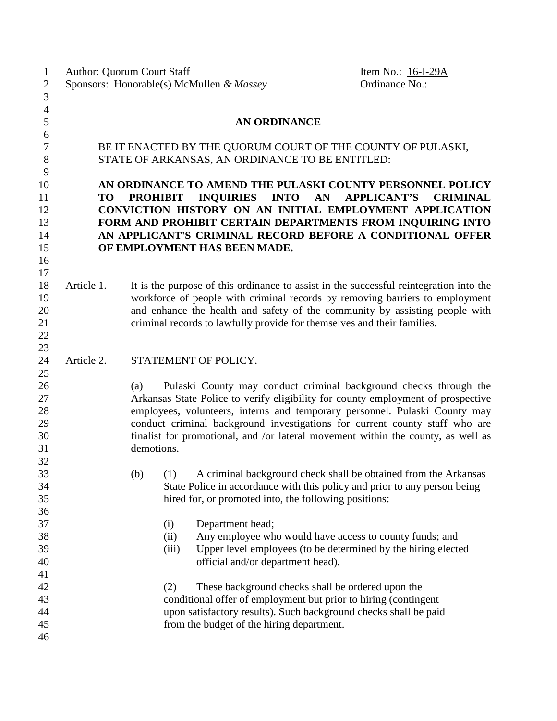| $\mathbf 1$    | <b>Author: Quorum Court Staff</b>                                                             |                                                                             |       |                                                       | Item No.: 16-I-29A                                                                                                   |  |
|----------------|-----------------------------------------------------------------------------------------------|-----------------------------------------------------------------------------|-------|-------------------------------------------------------|----------------------------------------------------------------------------------------------------------------------|--|
| $\overline{c}$ |                                                                                               |                                                                             |       | Sponsors: Honorable(s) McMullen & Massey              | Ordinance No.:                                                                                                       |  |
| $\overline{3}$ |                                                                                               |                                                                             |       |                                                       |                                                                                                                      |  |
| $\overline{4}$ |                                                                                               |                                                                             |       |                                                       |                                                                                                                      |  |
| 5              |                                                                                               |                                                                             |       | <b>AN ORDINANCE</b>                                   |                                                                                                                      |  |
| 6              |                                                                                               |                                                                             |       |                                                       |                                                                                                                      |  |
| $\tau$         |                                                                                               | BE IT ENACTED BY THE QUORUM COURT OF THE COUNTY OF PULASKI,                 |       |                                                       |                                                                                                                      |  |
| 8              |                                                                                               |                                                                             |       | STATE OF ARKANSAS, AN ORDINANCE TO BE ENTITLED:       |                                                                                                                      |  |
| 9              |                                                                                               |                                                                             |       |                                                       |                                                                                                                      |  |
| 10             |                                                                                               |                                                                             |       |                                                       | AN ORDINANCE TO AMEND THE PULASKI COUNTY PERSONNEL POLICY                                                            |  |
| 11             | <b>PROHIBIT</b><br>INQUIRIES INTO<br>AN<br><b>APPLICANT'S</b><br><b>TO</b><br><b>CRIMINAL</b> |                                                                             |       |                                                       |                                                                                                                      |  |
| 12             | CONVICTION HISTORY ON AN INITIAL EMPLOYMENT APPLICATION                                       |                                                                             |       |                                                       |                                                                                                                      |  |
| 13             |                                                                                               |                                                                             |       |                                                       | FORM AND PROHIBIT CERTAIN DEPARTMENTS FROM INQUIRING INTO                                                            |  |
| 14             |                                                                                               |                                                                             |       |                                                       | AN APPLICANT'S CRIMINAL RECORD BEFORE A CONDITIONAL OFFER                                                            |  |
| 15             |                                                                                               |                                                                             |       | OF EMPLOYMENT HAS BEEN MADE.                          |                                                                                                                      |  |
| 16             |                                                                                               |                                                                             |       |                                                       |                                                                                                                      |  |
| 17             |                                                                                               |                                                                             |       |                                                       |                                                                                                                      |  |
| 18             | Article 1.                                                                                    |                                                                             |       |                                                       | It is the purpose of this ordinance to assist in the successful reintegration into the                               |  |
| 19             |                                                                                               |                                                                             |       |                                                       | workforce of people with criminal records by removing barriers to employment                                         |  |
| 20             |                                                                                               | and enhance the health and safety of the community by assisting people with |       |                                                       |                                                                                                                      |  |
| 21             |                                                                                               |                                                                             |       |                                                       | criminal records to lawfully provide for themselves and their families.                                              |  |
| 22             |                                                                                               |                                                                             |       |                                                       |                                                                                                                      |  |
| 23             |                                                                                               |                                                                             |       |                                                       |                                                                                                                      |  |
| 24             | Article 2.                                                                                    |                                                                             |       | STATEMENT OF POLICY.                                  |                                                                                                                      |  |
| 25             |                                                                                               |                                                                             |       |                                                       |                                                                                                                      |  |
| 26             |                                                                                               | (a)                                                                         |       |                                                       | Pulaski County may conduct criminal background checks through the                                                    |  |
| 27             |                                                                                               |                                                                             |       |                                                       | Arkansas State Police to verify eligibility for county employment of prospective                                     |  |
| 28             |                                                                                               |                                                                             |       |                                                       | employees, volunteers, interns and temporary personnel. Pulaski County may                                           |  |
| 29             |                                                                                               |                                                                             |       |                                                       | conduct criminal background investigations for current county staff who are                                          |  |
| 30             |                                                                                               |                                                                             |       |                                                       | finalist for promotional, and /or lateral movement within the county, as well as                                     |  |
| 31             |                                                                                               | demotions.                                                                  |       |                                                       |                                                                                                                      |  |
| 32             |                                                                                               |                                                                             |       |                                                       |                                                                                                                      |  |
| 33             |                                                                                               |                                                                             |       |                                                       | (b) (1) A criminal background check shall be obtained from the Arkansas                                              |  |
| 34             |                                                                                               |                                                                             |       |                                                       | State Police in accordance with this policy and prior to any person being                                            |  |
| 35             |                                                                                               |                                                                             |       | hired for, or promoted into, the following positions: |                                                                                                                      |  |
| 36             |                                                                                               |                                                                             |       |                                                       |                                                                                                                      |  |
| 37             |                                                                                               |                                                                             | (i)   | Department head;                                      |                                                                                                                      |  |
| 38             |                                                                                               |                                                                             | (ii)  |                                                       | Any employee who would have access to county funds; and                                                              |  |
| 39             |                                                                                               |                                                                             | (iii) |                                                       | Upper level employees (to be determined by the hiring elected                                                        |  |
| 40             |                                                                                               |                                                                             |       | official and/or department head).                     |                                                                                                                      |  |
| 41<br>42       |                                                                                               |                                                                             |       |                                                       |                                                                                                                      |  |
| 43             |                                                                                               |                                                                             | (2)   |                                                       | These background checks shall be ordered upon the<br>conditional offer of employment but prior to hiring (contingent |  |
| 44             |                                                                                               |                                                                             |       |                                                       | upon satisfactory results). Such background checks shall be paid                                                     |  |
| 45             |                                                                                               |                                                                             |       | from the budget of the hiring department.             |                                                                                                                      |  |
| 46             |                                                                                               |                                                                             |       |                                                       |                                                                                                                      |  |
|                |                                                                                               |                                                                             |       |                                                       |                                                                                                                      |  |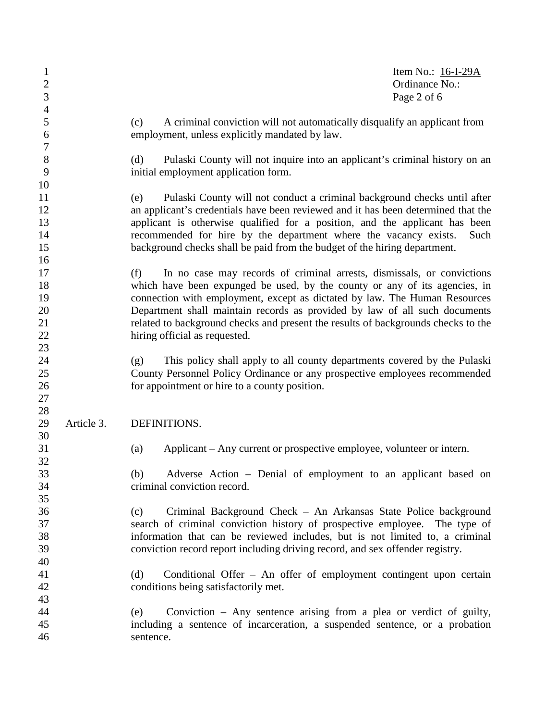| $\mathbf{1}$<br>$\overline{2}$<br>3    |            |                                                                                                                                                                                                                                                                                                                                                                                                                                               | Item No.: $16-I-29A$<br>Ordinance No.:<br>Page 2 of 6 |
|----------------------------------------|------------|-----------------------------------------------------------------------------------------------------------------------------------------------------------------------------------------------------------------------------------------------------------------------------------------------------------------------------------------------------------------------------------------------------------------------------------------------|-------------------------------------------------------|
| $\overline{4}$<br>5<br>6               |            | A criminal conviction will not automatically disqualify an applicant from<br>(c)<br>employment, unless explicitly mandated by law.                                                                                                                                                                                                                                                                                                            |                                                       |
| $\boldsymbol{7}$<br>8<br>9             |            | (d)<br>Pulaski County will not inquire into an applicant's criminal history on an<br>initial employment application form.                                                                                                                                                                                                                                                                                                                     |                                                       |
| 10<br>11<br>12<br>13<br>14<br>15       |            | Pulaski County will not conduct a criminal background checks until after<br>(e)<br>an applicant's credentials have been reviewed and it has been determined that the<br>applicant is otherwise qualified for a position, and the applicant has been<br>recommended for hire by the department where the vacancy exists.<br>background checks shall be paid from the budget of the hiring department.                                          | Such                                                  |
| 16<br>17<br>18<br>19<br>20<br>21<br>22 |            | In no case may records of criminal arrests, dismissals, or convictions<br>(f)<br>which have been expunged be used, by the county or any of its agencies, in<br>connection with employment, except as dictated by law. The Human Resources<br>Department shall maintain records as provided by law of all such documents<br>related to background checks and present the results of backgrounds checks to the<br>hiring official as requested. |                                                       |
| 23<br>24<br>25<br>26<br>27             |            | This policy shall apply to all county departments covered by the Pulaski<br>(g)<br>County Personnel Policy Ordinance or any prospective employees recommended<br>for appointment or hire to a county position.                                                                                                                                                                                                                                |                                                       |
| 28<br>29<br>30                         | Article 3. | DEFINITIONS.                                                                                                                                                                                                                                                                                                                                                                                                                                  |                                                       |
| 31<br>32                               |            | Applicant – Any current or prospective employee, volunteer or intern.<br>(a)                                                                                                                                                                                                                                                                                                                                                                  |                                                       |
| 33<br>34<br>35                         |            | Adverse Action – Denial of employment to an applicant based on<br>(b)<br>criminal conviction record.                                                                                                                                                                                                                                                                                                                                          |                                                       |
| 36<br>37<br>38<br>39                   |            | Criminal Background Check – An Arkansas State Police background<br>(c)<br>search of criminal conviction history of prospective employee. The type of<br>information that can be reviewed includes, but is not limited to, a criminal<br>conviction record report including driving record, and sex offender registry.                                                                                                                         |                                                       |
| 40<br>41<br>42                         |            | Conditional Offer – An offer of employment contingent upon certain<br>(d)<br>conditions being satisfactorily met.                                                                                                                                                                                                                                                                                                                             |                                                       |
| 43<br>44<br>45<br>46                   |            | Conviction $-$ Any sentence arising from a plea or verdict of guilty,<br>(e)<br>including a sentence of incarceration, a suspended sentence, or a probation<br>sentence.                                                                                                                                                                                                                                                                      |                                                       |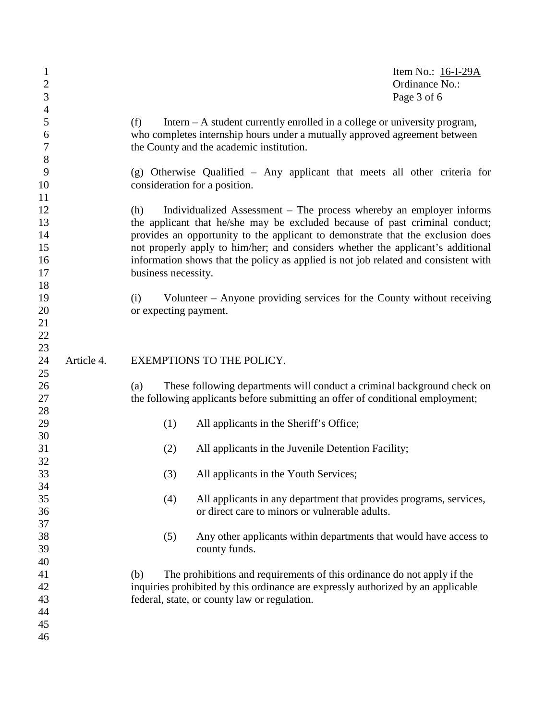| $\mathbf{1}$<br>$\mathbf{2}$<br>$\mathfrak{Z}$ |            |                              |                                                                                                                                                                                                                                                                                                                                                                                                                 | Item No.: $16-I-29A$<br>Ordinance No.:<br>Page 3 of 6 |
|------------------------------------------------|------------|------------------------------|-----------------------------------------------------------------------------------------------------------------------------------------------------------------------------------------------------------------------------------------------------------------------------------------------------------------------------------------------------------------------------------------------------------------|-------------------------------------------------------|
| $\overline{4}$<br>5<br>6<br>7<br>8             |            | (f)                          | Intern $- A$ student currently enrolled in a college or university program,<br>who completes internship hours under a mutually approved agreement between<br>the County and the academic institution.                                                                                                                                                                                                           |                                                       |
| 9<br>10                                        |            |                              | (g) Otherwise Qualified – Any applicant that meets all other criteria for<br>consideration for a position.                                                                                                                                                                                                                                                                                                      |                                                       |
| 11<br>12<br>13<br>14<br>15<br>16<br>17         |            | (h)<br>business necessity.   | Individualized Assessment – The process whereby an employer informs<br>the applicant that he/she may be excluded because of past criminal conduct;<br>provides an opportunity to the applicant to demonstrate that the exclusion does<br>not properly apply to him/her; and considers whether the applicant's additional<br>information shows that the policy as applied is not job related and consistent with |                                                       |
| 18<br>19<br>20<br>21<br>22<br>23               |            | (i)<br>or expecting payment. | Volunteer – Anyone providing services for the County without receiving                                                                                                                                                                                                                                                                                                                                          |                                                       |
| 24<br>25                                       | Article 4. |                              | EXEMPTIONS TO THE POLICY.                                                                                                                                                                                                                                                                                                                                                                                       |                                                       |
| 26<br>27                                       |            | (a)                          | These following departments will conduct a criminal background check on<br>the following applicants before submitting an offer of conditional employment;                                                                                                                                                                                                                                                       |                                                       |
| 28<br>29                                       |            | (1)                          | All applicants in the Sheriff's Office;                                                                                                                                                                                                                                                                                                                                                                         |                                                       |
| 30<br>31                                       |            | (2)                          | All applicants in the Juvenile Detention Facility;                                                                                                                                                                                                                                                                                                                                                              |                                                       |
| 32<br>33                                       |            | (3)                          | All applicants in the Youth Services;                                                                                                                                                                                                                                                                                                                                                                           |                                                       |
| 34<br>35<br>36                                 |            | (4)                          | All applicants in any department that provides programs, services,<br>or direct care to minors or vulnerable adults.                                                                                                                                                                                                                                                                                            |                                                       |
| 37<br>38<br>39                                 |            | (5)                          | Any other applicants within departments that would have access to<br>county funds.                                                                                                                                                                                                                                                                                                                              |                                                       |
| 40<br>41<br>42<br>43<br>44<br>45<br>46         |            | (b)                          | The prohibitions and requirements of this ordinance do not apply if the<br>inquiries prohibited by this ordinance are expressly authorized by an applicable<br>federal, state, or county law or regulation.                                                                                                                                                                                                     |                                                       |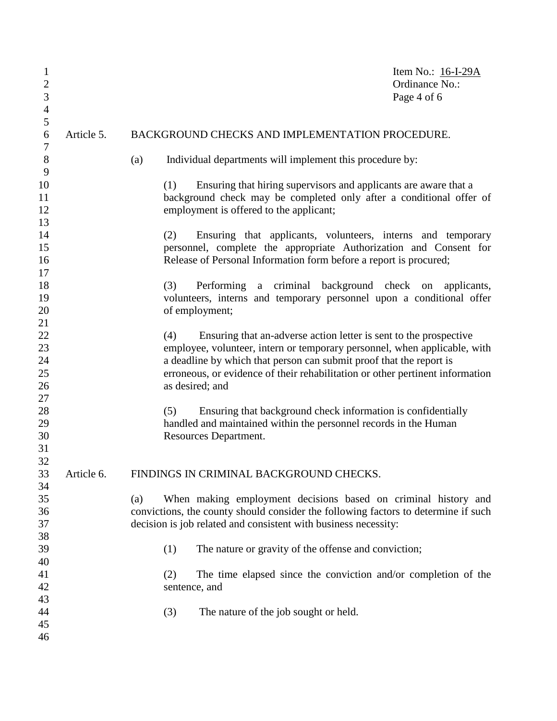| $\mathbf{1}$<br>$\overline{c}$<br>3<br>$\overline{4}$ |            | Item No.: 16-I-29A<br>Ordinance No.:<br>Page 4 of 6                                                                                                                                                                                                                                                                              |  |
|-------------------------------------------------------|------------|----------------------------------------------------------------------------------------------------------------------------------------------------------------------------------------------------------------------------------------------------------------------------------------------------------------------------------|--|
| 5<br>6                                                | Article 5. | BACKGROUND CHECKS AND IMPLEMENTATION PROCEDURE.                                                                                                                                                                                                                                                                                  |  |
| 7<br>$8\,$                                            |            | Individual departments will implement this procedure by:<br>(a)                                                                                                                                                                                                                                                                  |  |
| 9<br>10<br>11<br>12<br>13                             |            | Ensuring that hiring supervisors and applicants are aware that a<br>(1)<br>background check may be completed only after a conditional offer of<br>employment is offered to the applicant;                                                                                                                                        |  |
| 14<br>15<br>16<br>17                                  |            | (2)<br>Ensuring that applicants, volunteers, interns and temporary<br>personnel, complete the appropriate Authorization and Consent for<br>Release of Personal Information form before a report is procured;                                                                                                                     |  |
| 18<br>19<br>20<br>21                                  |            | (3)<br>Performing a criminal background check on applicants,<br>volunteers, interns and temporary personnel upon a conditional offer<br>of employment;                                                                                                                                                                           |  |
| 22<br>23<br>24<br>25<br>26                            |            | Ensuring that an-adverse action letter is sent to the prospective<br>(4)<br>employee, volunteer, intern or temporary personnel, when applicable, with<br>a deadline by which that person can submit proof that the report is<br>erroneous, or evidence of their rehabilitation or other pertinent information<br>as desired; and |  |
| 27<br>28<br>29<br>30<br>31                            |            | Ensuring that background check information is confidentially<br>(5)<br>handled and maintained within the personnel records in the Human<br>Resources Department.                                                                                                                                                                 |  |
| 32<br>33<br>34                                        | Article 6. | FINDINGS IN CRIMINAL BACKGROUND CHECKS.                                                                                                                                                                                                                                                                                          |  |
| 35<br>36<br>37                                        |            | When making employment decisions based on criminal history and<br>(a)<br>convictions, the county should consider the following factors to determine if such<br>decision is job related and consistent with business necessity:                                                                                                   |  |
| 38<br>39<br>40                                        |            | (1)<br>The nature or gravity of the offense and conviction;                                                                                                                                                                                                                                                                      |  |
| 41<br>42                                              |            | The time elapsed since the conviction and/or completion of the<br>(2)<br>sentence, and                                                                                                                                                                                                                                           |  |
| 43<br>44<br>45<br>46                                  |            | (3)<br>The nature of the job sought or held.                                                                                                                                                                                                                                                                                     |  |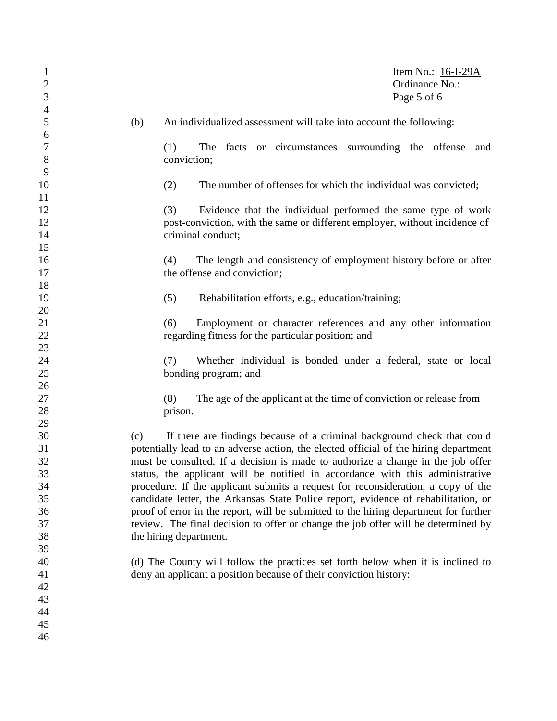| $\mathbf{1}$<br>$\mathbf{2}$<br>3 | Item No.: $16-I-29A$<br>Ordinance No.:<br>Page 5 of 6                                |
|-----------------------------------|--------------------------------------------------------------------------------------|
| $\overline{4}$<br>5               | (b)<br>An individualized assessment will take into account the following:            |
| 6                                 |                                                                                      |
| $\boldsymbol{7}$                  | (1)<br>The<br>facts or circumstances surrounding the offense<br>and                  |
| $8\,$                             | conviction;                                                                          |
| 9                                 |                                                                                      |
| 10                                | The number of offenses for which the individual was convicted;<br>(2)                |
| 11                                |                                                                                      |
| 12                                | (3)<br>Evidence that the individual performed the same type of work                  |
| 13                                | post-conviction, with the same or different employer, without incidence of           |
| 14<br>15                          | criminal conduct;                                                                    |
| 16                                | The length and consistency of employment history before or after<br>(4)              |
| 17                                | the offense and conviction;                                                          |
| 18                                |                                                                                      |
| 19                                | (5)<br>Rehabilitation efforts, e.g., education/training;                             |
| 20                                |                                                                                      |
| 21                                | (6)<br>Employment or character references and any other information                  |
| 22                                | regarding fitness for the particular position; and                                   |
| 23                                |                                                                                      |
| 24                                | Whether individual is bonded under a federal, state or local<br>(7)                  |
| 25                                | bonding program; and                                                                 |
| 26                                |                                                                                      |
| 27                                | (8)<br>The age of the applicant at the time of conviction or release from            |
| 28                                | prison.                                                                              |
| 29                                |                                                                                      |
| 30                                | If there are findings because of a criminal background check that could<br>(c)       |
| 31                                | potentially lead to an adverse action, the elected official of the hiring department |
| 32                                | must be consulted. If a decision is made to authorize a change in the job offer      |
| 33                                | status, the applicant will be notified in accordance with this administrative        |
| 34                                | procedure. If the applicant submits a request for reconsideration, a copy of the     |
| 35                                | candidate letter, the Arkansas State Police report, evidence of rehabilitation, or   |
| 36                                | proof of error in the report, will be submitted to the hiring department for further |
| 37                                | review. The final decision to offer or change the job offer will be determined by    |
| 38                                | the hiring department.                                                               |
| 39                                |                                                                                      |
| 40                                | (d) The County will follow the practices set forth below when it is inclined to      |
| 41                                | deny an applicant a position because of their conviction history:                    |
| 42                                |                                                                                      |
| 43                                |                                                                                      |
| 44                                |                                                                                      |
| 45                                |                                                                                      |
| 46                                |                                                                                      |